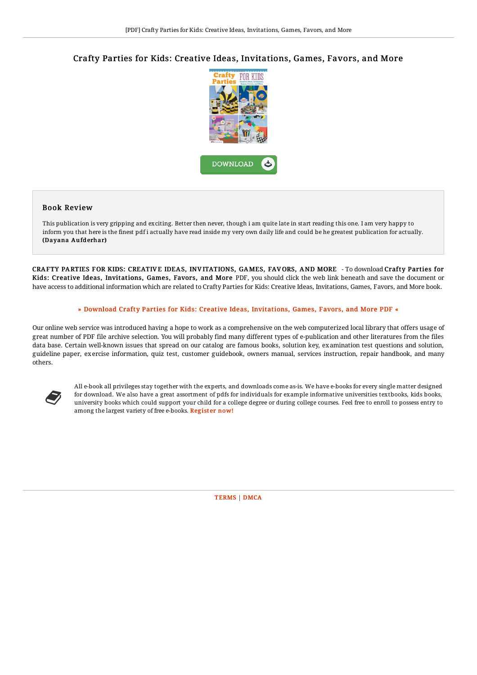## Crafty Parties for Kids: Creative Ideas, Invitations, Games, Favors, and More



## Book Review

This publication is very gripping and exciting. Better then never, though i am quite late in start reading this one. I am very happy to inform you that here is the finest pdf i actually have read inside my very own daily life and could be he greatest publication for actually. (Dayana Aufderhar)

CRAFTY PARTIES FOR KIDS: CREATIV E IDEAS, INV ITATIONS, GAMES, FAV ORS, AND MORE - To download Crafty Parties for Kids: Creative Ideas, Invitations, Games, Favors, and More PDF, you should click the web link beneath and save the document or have access to additional information which are related to Crafty Parties for Kids: Creative Ideas, Invitations, Games, Favors, and More book.

## » Download Crafty Parties for Kids: Creative Ideas, [Invitations,](http://almighty24.tech/crafty-parties-for-kids-creative-ideas-invitatio.html) Games, Favors, and More PDF «

Our online web service was introduced having a hope to work as a comprehensive on the web computerized local library that offers usage of great number of PDF file archive selection. You will probably find many different types of e-publication and other literatures from the files data base. Certain well-known issues that spread on our catalog are famous books, solution key, examination test questions and solution, guideline paper, exercise information, quiz test, customer guidebook, owners manual, services instruction, repair handbook, and many others.



All e-book all privileges stay together with the experts, and downloads come as-is. We have e-books for every single matter designed for download. We also have a great assortment of pdfs for individuals for example informative universities textbooks, kids books, university books which could support your child for a college degree or during college courses. Feel free to enroll to possess entry to among the largest variety of free e-books. [Regist](http://almighty24.tech/crafty-parties-for-kids-creative-ideas-invitatio.html)er now!